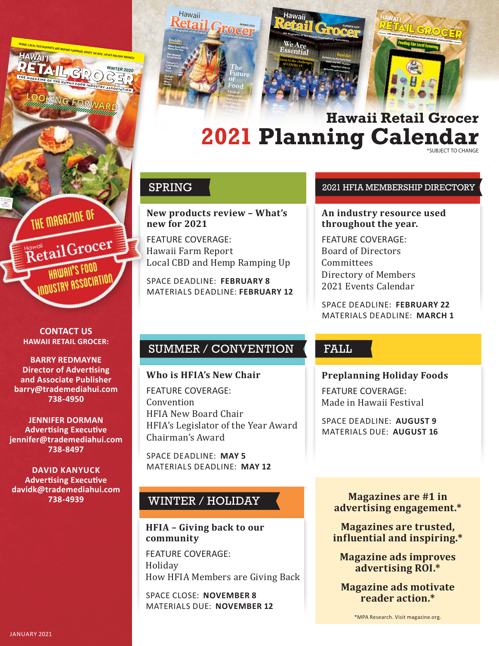

# **2021 Planning Calendar Hawaii Retail Grocer**

**New products review – What's new for 2021**

FEATURE COVERAGE: Hawaii Farm Report Local CBD and Hemp Ramping Up

SPACE DEADLINE: **FEBRUARY 8** MATERIALS DEADLINE: **FEBRUARY 12**

# SUMMER / CONVENTION

#### **Who is HFIA's New Chair**

FEATURE COVERAGE: Convention HFIA New Board Chair HFIA's Legislator of the Year Award Chairman's Award

SPACE DEADLINE: **MAY 5** MATERIALS DEADLINE: **MAY 12**

# WINTER / HOLIDAY

### **HFIA – Giving back to our community**

FEATURE COVERAGE: Holiday How HFIA Members are Giving Back

SPACE CLOSE: **NOVEMBER 8** MATERIALS DUE: **NOVEMBER 12**

#### SPRING **2021 HEIA MEMBERSHIP DIRECTORY**

#### **An industry resource used throughout the year.**

FEATURE COVERAGE: Board of Directors **Committees** Directory of Members 2021 Events Calendar

SPACE DEADLINE: **FEBRUARY 22** MATERIALS DEADLINE: **MARCH 1**

# FALL

#### **Preplanning Holiday Foods**

FEATURE COVERAGE: Made in Hawaii Festival

SPACE DEADLINE: **AUGUST 9** MATERIALS DUE: **AUGUST 16**

> **Magazines are #1 in advertising engagement.\***

**Magazines are trusted, influential and inspiring.\***

**Magazine ads improves advertising ROI.\***

**Magazine ads motivate reader action.\***

**CONTACT US HAWAII RETAIL GROCER:**

The Magazine of

Retail Grocer

Industry Association"

RETAIL GROCER **WINTER 2020**

INSIDE: LOCAL RESTAURANTS ARE MOVING FORWARD, BOOST 'DA BUX', HFIA'S HOLIDAY BRUNCH<br>**HAWA** I<sup>7</sup>I

THE MAGAZINE OF THE HAWAII FOOD INDUSTRY ASSOCIATION

**LOOKING FORWARD**

**HAWAI'I**

PRSRT STD U.S. POSTAGE H *TI'WON* PER CITY STANDARD

> **BARRY REDMAYNE Director of Advertising and Associate Publisher barry@trademediahui.com 738-4950**

**JENNIFER DORMAN Advertising Executive jennifer@trademediahui.com 738-8497**

**DAVID KANYUCK Advertising Executive davidk@trademediahui.com 738-4939**